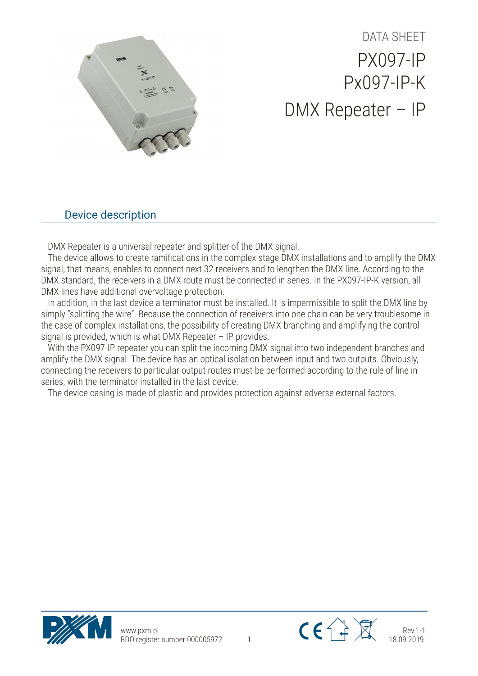

## DATA SHEET PX097-IP Px097-IP-K DMX Repeater – IP

## Device description

DMX Repeater is a universal repeater and splitter of the DMX signal.

The device allows to create ramifications in the complex stage DMX installations and to amplify the DMX signal, that means, enables to connect next 32 receivers and to lengthen the DMX line. According to the DMX standard, the receivers in a DMX route must be connected in series. In the PX097-IP-K version, all DMX lines have additional overvoltage protection.

In addition, in the last device a terminator must be installed. It is impermissible to split the DMX line by simply "splitting the wire". Because the connection of receivers into one chain can be very troublesome in the case of complex installations, the possibility of creating DMX branching and amplifying the control signal is provided, which is what DMX Repeater – IP provides.

With the PX097-IP repeater you can split the incoming DMX signal into two independent branches and amplify the DMX signal. The device has an optical isolation between input and two outputs. Obviously, connecting the receivers to particular output routes must be performed according to the rule of line in series, with the terminator installed in the last device.

The device casing is made of plastic and provides protection against adverse external factors.



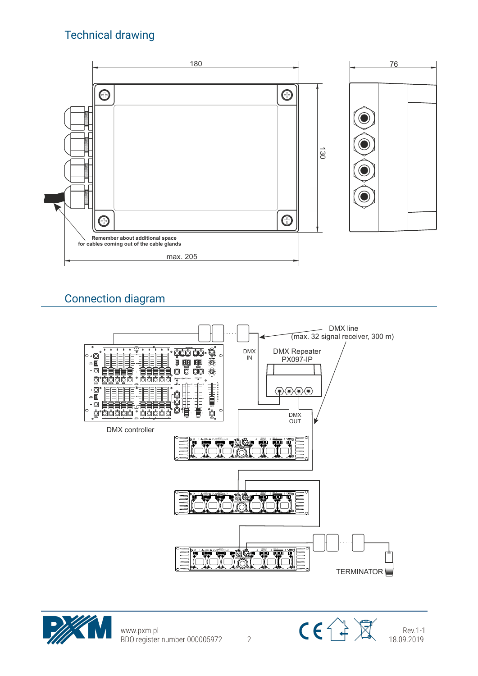

## Connection diagram





www.pxm.pl BDO register number 000005972 2



Rev.1-1 18.09.2019